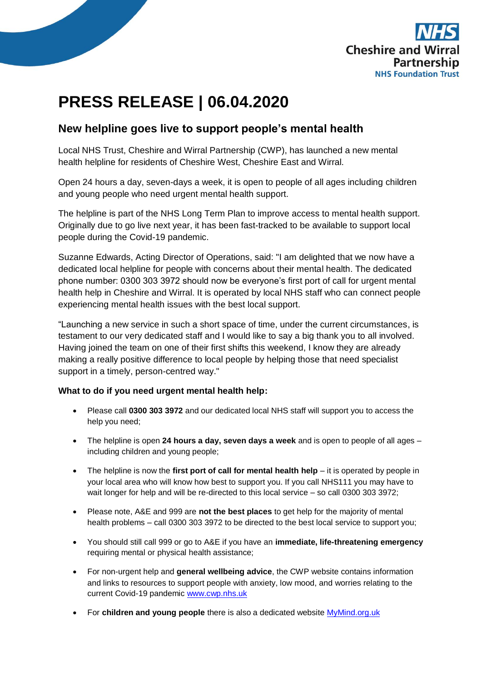

## **PRESS RELEASE | 06.04.2020**

## **New helpline goes live to support people's mental health**

Local NHS Trust, Cheshire and Wirral Partnership (CWP), has launched a new mental health helpline for residents of Cheshire West, Cheshire East and Wirral.

Open 24 hours a day, seven-days a week, it is open to people of all ages including children and young people who need urgent mental health support.

The helpline is part of the NHS Long Term Plan to improve access to mental health support. Originally due to go live next year, it has been fast-tracked to be available to support local people during the Covid-19 pandemic.

Suzanne Edwards, Acting Director of Operations, said: "I am delighted that we now have a dedicated local helpline for people with concerns about their mental health. The dedicated phone number: 0300 303 3972 should now be everyone's first port of call for urgent mental health help in Cheshire and Wirral. It is operated by local NHS staff who can connect people experiencing mental health issues with the best local support.

"Launching a new service in such a short space of time, under the current circumstances, is testament to our very dedicated staff and I would like to say a big thank you to all involved. Having joined the team on one of their first shifts this weekend, I know they are already making a really positive difference to local people by helping those that need specialist support in a timely, person-centred way."

## **What to do if you need urgent mental health help:**

- Please call **0300 303 3972** and our dedicated local NHS staff will support you to access the help you need;
- The helpline is open **24 hours a day, seven days a week** and is open to people of all ages including children and young people;
- The helpline is now the **first port of call for mental health help** it is operated by people in your local area who will know how best to support you. If you call NHS111 you may have to wait longer for help and will be re-directed to this local service – so call 0300 303 3972;
- Please note, A&E and 999 are **not the best places** to get help for the majority of mental health problems – call 0300 303 3972 to be directed to the best local service to support you;
- You should still call 999 or go to A&E if you have an **immediate, life-threatening emergency** requiring mental or physical health assistance;
- For non-urgent help and **general wellbeing advice**, the CWP website contains information and links to resources to support people with anxiety, low mood, and worries relating to the current Covid-19 pandemic [www.cwp.nhs.uk](http://www.cwp.nhs.uk/)
- **•** For **children and young people** there is also a dedicated website **MyMind.org.uk**